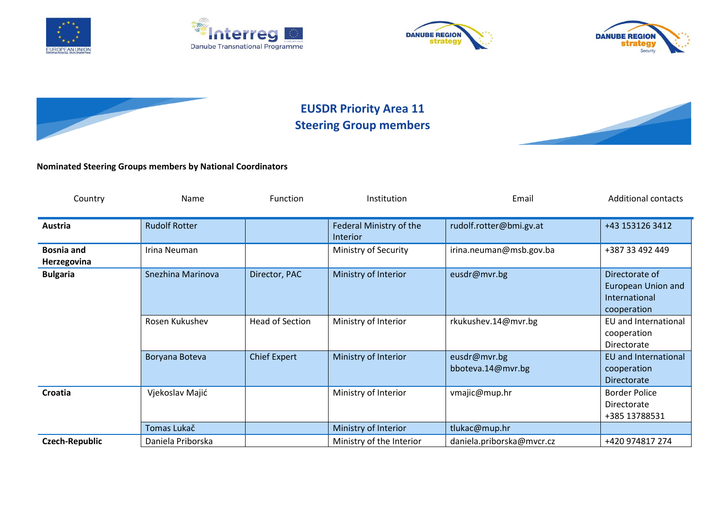









## **EUSDR Priority Area 11 Steering Group members**



## **Nominated Steering Groups members by National Coordinators**

| Country                          | Name                 | <b>Function</b>        | Institution                         | Email                             | <b>Additional contacts</b>                                           |
|----------------------------------|----------------------|------------------------|-------------------------------------|-----------------------------------|----------------------------------------------------------------------|
| Austria                          | <b>Rudolf Rotter</b> |                        | Federal Ministry of the<br>Interior | rudolf.rotter@bmi.gv.at           | +43 153126 3412                                                      |
| <b>Bosnia and</b><br>Herzegovina | Irina Neuman         |                        | Ministry of Security                | irina.neuman@msb.gov.ba           | +387 33 492 449                                                      |
| <b>Bulgaria</b>                  | Snezhina Marinova    | Director, PAC          | Ministry of Interior                | eusdr@mvr.bg                      | Directorate of<br>European Union and<br>International<br>cooperation |
|                                  | Rosen Kukushev       | <b>Head of Section</b> | Ministry of Interior                | rkukushev.14@mvr.bg               | EU and International<br>cooperation<br>Directorate                   |
|                                  | Boryana Boteva       | <b>Chief Expert</b>    | Ministry of Interior                | eusdr@mvr.bg<br>bboteva.14@mvr.bg | EU and International<br>cooperation<br><b>Directorate</b>            |
| Croatia                          | Vjekoslav Majić      |                        | Ministry of Interior                | vmajic@mup.hr                     | <b>Border Police</b><br>Directorate<br>+385 13788531                 |
|                                  | Tomas Lukač          |                        | Ministry of Interior                | tlukac@mup.hr                     |                                                                      |
| <b>Czech-Republic</b>            | Daniela Priborska    |                        | Ministry of the Interior            | daniela.priborska@mvcr.cz         | +420 974817 274                                                      |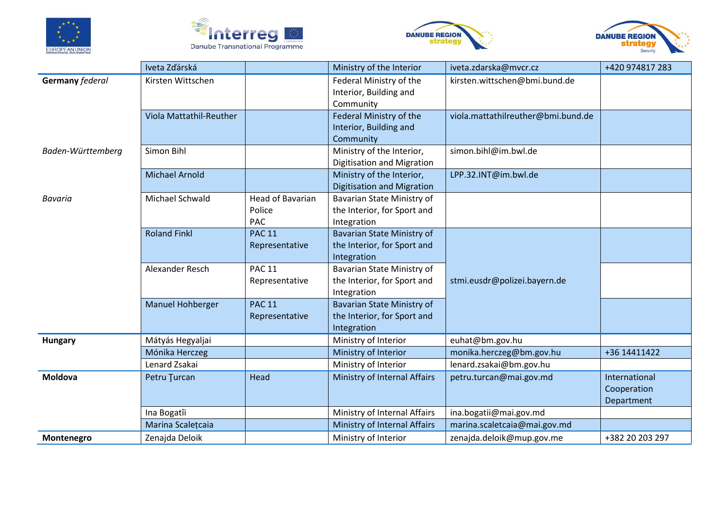







|                        | Iveta Zďárská                      |                  | Ministry of the Interior                   | iveta.zdarska@mvcr.cz              | +420 974817 283 |
|------------------------|------------------------------------|------------------|--------------------------------------------|------------------------------------|-----------------|
| <b>Germany federal</b> | Kirsten Wittschen                  |                  | Federal Ministry of the                    | kirsten.wittschen@bmi.bund.de      |                 |
|                        |                                    |                  | Interior, Building and                     |                                    |                 |
|                        |                                    |                  | Community                                  |                                    |                 |
|                        | Viola Mattathil-Reuther            |                  | Federal Ministry of the                    | viola.mattathilreuther@bmi.bund.de |                 |
|                        |                                    |                  | Interior, Building and                     |                                    |                 |
|                        |                                    |                  | Community                                  |                                    |                 |
| Baden-Württemberg      | Simon Bihl                         |                  | Ministry of the Interior,                  | simon.bihl@im.bwl.de               |                 |
|                        |                                    |                  | Digitisation and Migration                 |                                    |                 |
|                        | <b>Michael Arnold</b>              |                  | Ministry of the Interior,                  | LPP.32.INT@im.bwl.de               |                 |
|                        |                                    |                  | <b>Digitisation and Migration</b>          |                                    |                 |
| Bavaria                | Michael Schwald                    | Head of Bavarian | Bavarian State Ministry of                 |                                    |                 |
|                        |                                    | Police           | the Interior, for Sport and                |                                    |                 |
|                        |                                    | PAC              | Integration                                |                                    |                 |
|                        | <b>Roland Finkl</b>                | <b>PAC 11</b>    | <b>Bavarian State Ministry of</b>          |                                    |                 |
|                        |                                    | Representative   | the Interior, for Sport and                |                                    |                 |
|                        |                                    |                  | Integration                                |                                    |                 |
|                        | Alexander Resch                    | <b>PAC 11</b>    | Bavarian State Ministry of                 |                                    |                 |
|                        |                                    | Representative   | the Interior, for Sport and                | stmi.eusdr@polizei.bayern.de       |                 |
|                        |                                    |                  | Integration                                |                                    |                 |
|                        | Manuel Hohberger                   | <b>PAC 11</b>    | Bavarian State Ministry of                 |                                    |                 |
|                        |                                    | Representative   | the Interior, for Sport and<br>Integration |                                    |                 |
|                        |                                    |                  | Ministry of Interior                       | euhat@bm.gov.hu                    |                 |
| <b>Hungary</b>         | Mátyás Hegyaljai<br>Mónika Herczeg |                  | Ministry of Interior                       | monika.herczeg@bm.gov.hu           | +36 14411422    |
|                        | Lenard Zsakai                      |                  | Ministry of Interior                       | lenard.zsakai@bm.gov.hu            |                 |
| Moldova                | Petru Turcan                       | Head             | Ministry of Internal Affairs               | petru.turcan@mai.gov.md            | International   |
|                        |                                    |                  |                                            |                                    | Cooperation     |
|                        |                                    |                  |                                            |                                    | Department      |
|                        | Ina Bogatîi                        |                  | Ministry of Internal Affairs               | ina.bogatii@mai.gov.md             |                 |
|                        | Marina Scalețcaia                  |                  | Ministry of Internal Affairs               | marina.scaletcaia@mai.gov.md       |                 |
|                        |                                    |                  |                                            |                                    |                 |
| Montenegro             | Zenajda Deloik                     |                  | Ministry of Interior                       | zenajda.deloik@mup.gov.me          | +382 20 203 297 |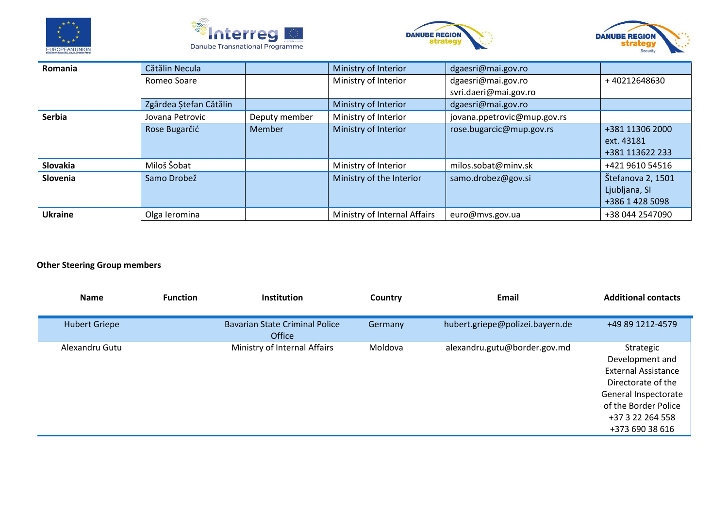







| Romania        | Cătălin Necula         |               | Ministry of Interior         | dgaesri@mai.gov.ro          |                   |
|----------------|------------------------|---------------|------------------------------|-----------------------------|-------------------|
|                | Romeo Soare            |               | Ministry of Interior         | dgaesri@mai.gov.ro          | +40212648630      |
|                |                        |               |                              | svri.daeri@mai.gov.ro       |                   |
|                | Zgârdea Ștefan Cătălin |               | Ministry of Interior         | dgaesri@mai.gov.ro          |                   |
| <b>Serbia</b>  | Jovana Petrovic        | Deputy member | Ministry of Interior         | jovana.ppetrovic@mup.gov.rs |                   |
|                | Rose Bugarčić          | Member        | Ministry of Interior         | rose.bugarcic@mup.gov.rs    | +381 11306 2000   |
|                |                        |               |                              |                             | ext. 43181        |
|                |                        |               |                              |                             | +381 113622 233   |
| Slovakia       | Miloš Šobat            |               | Ministry of Interior         | milos.sobat@minv.sk         | +421 9610 54516   |
| Slovenia       | Samo Drobež            |               | Ministry of the Interior     | samo.drobez@gov.si          | Štefanova 2, 1501 |
|                |                        |               |                              |                             | Ljubljana, SI     |
|                |                        |               |                              |                             | +386 1 428 5098   |
| <b>Ukraine</b> | Olga leromina          |               | Ministry of Internal Affairs | euro@mvs.gov.ua             | +38 044 2547090   |

## **Other Steering Group members**

| Name                 | <b>Function</b> | <b>Institution</b>                              | Country | Email                           | <b>Additional contacts</b>                                                                                                                                              |
|----------------------|-----------------|-------------------------------------------------|---------|---------------------------------|-------------------------------------------------------------------------------------------------------------------------------------------------------------------------|
| <b>Hubert Griepe</b> |                 | <b>Bavarian State Criminal Police</b><br>Office | Germany | hubert.griepe@polizei.bayern.de | +49 89 1212-4579                                                                                                                                                        |
| Alexandru Gutu       |                 | Ministry of Internal Affairs                    | Moldova | alexandru.gutu@border.gov.md    | Strategic<br>Development and<br><b>External Assistance</b><br>Directorate of the<br>General Inspectorate<br>of the Border Police<br>+37 3 22 264 558<br>+373 690 38 616 |